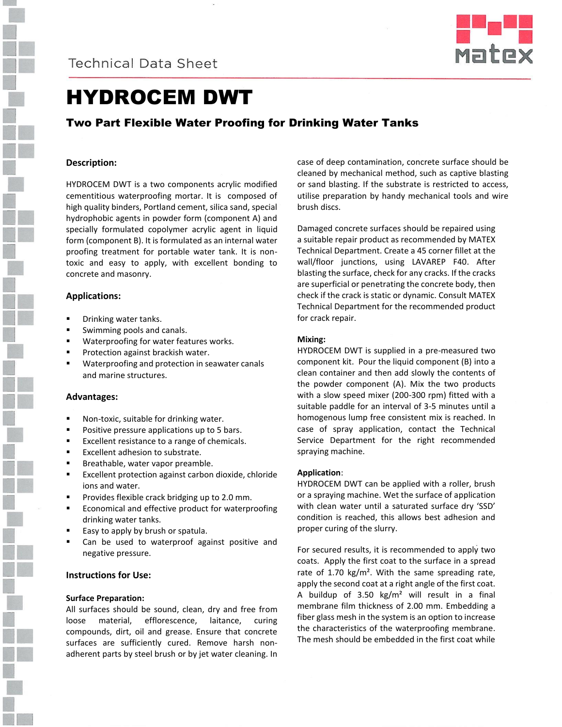



# HYDROCEM DWT

## Two Part Flexible Water Proofing for Drinking Water Tanks

### **Description:**

HYDROCEM DWT is a two components acrylic modified cementitious waterproofing mortar. It is composed of high quality binders, Portland cement, silica sand, special hydrophobic agents in powder form (component A) and specially formulated copolymer acrylic agent in liquid form (component B). It is formulated as an internal water proofing treatment for portable water tank. It is nontoxic and easy to apply, with excellent bonding to concrete and masonry.

#### **Applications:**

- Drinking water tanks.
- Swimming pools and canals.
- Waterproofing for water features works.
- Protection against brackish water.
- Waterproofing and protection in seawater canals and marine structures.

#### **Advantages:**

- Non-toxic, suitable for drinking water.
- Positive pressure applications up to 5 bars.
- Excellent resistance to a range of chemicals.
- **Excellent adhesion to substrate.**
- Breathable, water vapor preamble.
- **Excellent protection against carbon dioxide, chloride** ions and water.
- Provides flexible crack bridging up to 2.0 mm.
- Economical and effective product for waterproofing drinking water tanks.
- Easy to apply by brush or spatula.
- Can be used to waterproof against positive and negative pressure.

### **Instructions for Use:**

#### **Surface Preparation:**

All surfaces should be sound, clean, dry and free from loose material, efflorescence, laitance, curing compounds, dirt, oil and grease. Ensure that concrete surfaces are sufficiently cured. Remove harsh nonadherent parts by steel brush or by jet water cleaning. In case of deep contamination, concrete surface should be cleaned by mechanical method, such as captive blasting or sand blasting. If the substrate is restricted to access, utilise preparation by handy mechanical tools and wire brush discs.

Damaged concrete surfaces should be repaired using a suitable repair product as recommended by MATEX Technical Department. Create a 45 corner fillet at the wall/floor junctions, using LAVAREP F40. After blasting the surface, check for any cracks. If the cracks are superficial or penetrating the concrete body, then check if the crack is static or dynamic. Consult MATEX Technical Department for the recommended product for crack repair.

#### **Mixing:**

HYDROCEM DWT is supplied in a pre-measured two component kit. Pour the liquid component (B) into a clean container and then add slowly the contents of the powder component (A). Mix the two products with a slow speed mixer (200-300 rpm) fitted with a suitable paddle for an interval of 3-5 minutes until a homogenous lump free consistent mix is reached. In case of spray application, contact the Technical Service Department for the right recommended spraying machine.

#### **Application**:

HYDROCEM DWT can be applied with a roller, brush or a spraying machine. Wet the surface of application with clean water until a saturated surface dry 'SSD' condition is reached, this allows best adhesion and proper curing of the slurry.

For secured results, it is recommended to apply two coats. Apply the first coat to the surface in a spread rate of 1.70 kg/m<sup>2</sup>. With the same spreading rate, apply the second coat at a right angle of the first coat. A buildup of  $3.50 \text{ kg/m}^2$  will result in a final membrane film thickness of 2.00 mm. Embedding a fiber glass mesh in the system is an option to increase the characteristics of the waterproofing membrane. The mesh should be embedded in the first coat while